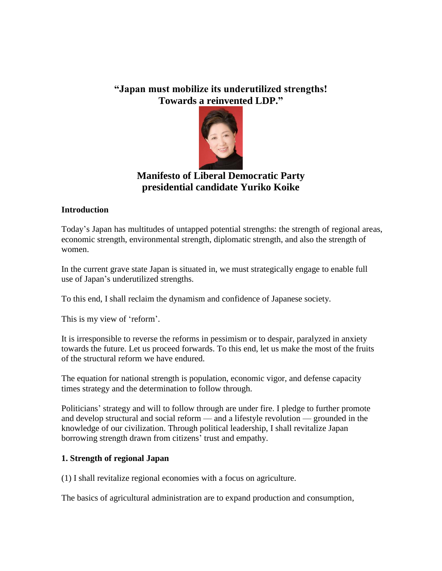# **"Japan must mobilize its underutilized strengths! Towards a reinvented LDP."**



# **Manifesto of Liberal Democratic Party presidential candidate Yuriko Koike**

### **Introduction**

Today's Japan has multitudes of untapped potential strengths: the strength of regional areas, economic strength, environmental strength, diplomatic strength, and also the strength of women.

In the current grave state Japan is situated in, we must strategically engage to enable full use of Japan's underutilized strengths.

To this end, I shall reclaim the dynamism and confidence of Japanese society.

This is my view of 'reform'.

It is irresponsible to reverse the reforms in pessimism or to despair, paralyzed in anxiety towards the future. Let us proceed forwards. To this end, let us make the most of the fruits of the structural reform we have endured.

The equation for national strength is population, economic vigor, and defense capacity times strategy and the determination to follow through.

Politicians' strategy and will to follow through are under fire. I pledge to further promote and develop structural and social reform — and a lifestyle revolution — grounded in the knowledge of our civilization. Through political leadership, I shall revitalize Japan borrowing strength drawn from citizens' trust and empathy.

### **1. Strength of regional Japan**

(1) I shall revitalize regional economies with a focus on agriculture.

The basics of agricultural administration are to expand production and consumption,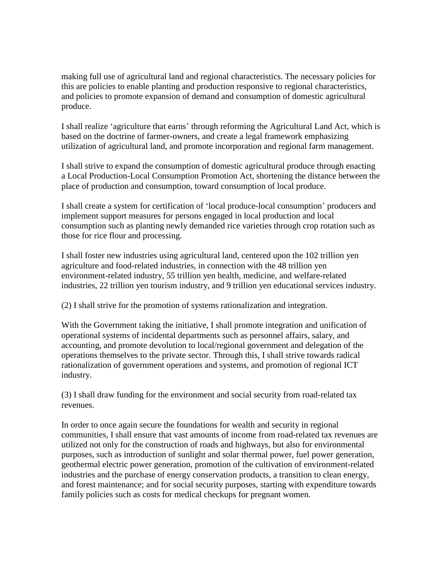making full use of agricultural land and regional characteristics. The necessary policies for this are policies to enable planting and production responsive to regional characteristics, and policies to promote expansion of demand and consumption of domestic agricultural produce.

I shall realize 'agriculture that earns' through reforming the Agricultural Land Act, which is based on the doctrine of farmer-owners, and create a legal framework emphasizing utilization of agricultural land, and promote incorporation and regional farm management.

I shall strive to expand the consumption of domestic agricultural produce through enacting a Local Production-Local Consumption Promotion Act, shortening the distance between the place of production and consumption, toward consumption of local produce.

I shall create a system for certification of 'local produce-local consumption' producers and implement support measures for persons engaged in local production and local consumption such as planting newly demanded rice varieties through crop rotation such as those for rice flour and processing.

I shall foster new industries using agricultural land, centered upon the 102 trillion yen agriculture and food-related industries, in connection with the 48 trillion yen environment-related industry, 55 trillion yen health, medicine, and welfare-related industries, 22 trillion yen tourism industry, and 9 trillion yen educational services industry.

(2) I shall strive for the promotion of systems rationalization and integration.

With the Government taking the initiative, I shall promote integration and unification of operational systems of incidental departments such as personnel affairs, salary, and accounting, and promote devolution to local/regional government and delegation of the operations themselves to the private sector. Through this, I shall strive towards radical rationalization of government operations and systems, and promotion of regional ICT industry.

(3) I shall draw funding for the environment and social security from road-related tax revenues.

In order to once again secure the foundations for wealth and security in regional communities, I shall ensure that vast amounts of income from road-related tax revenues are utilized not only for the construction of roads and highways, but also for environmental purposes, such as introduction of sunlight and solar thermal power, fuel power generation, geothermal electric power generation, promotion of the cultivation of environment-related industries and the purchase of energy conservation products, a transition to clean energy, and forest maintenance; and for social security purposes, starting with expenditure towards family policies such as costs for medical checkups for pregnant women.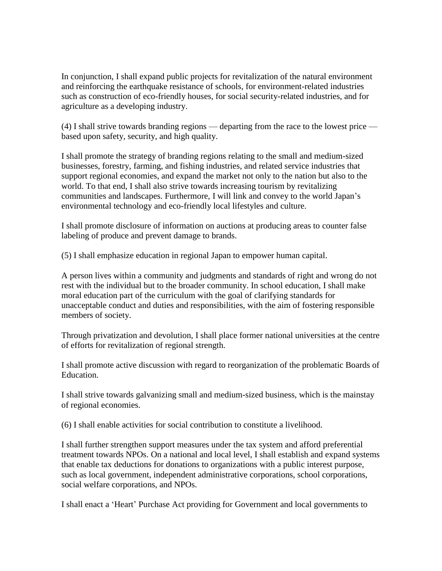In conjunction, I shall expand public projects for revitalization of the natural environment and reinforcing the earthquake resistance of schools, for environment-related industries such as construction of eco-friendly houses, for social security-related industries, and for agriculture as a developing industry.

(4) I shall strive towards branding regions — departing from the race to the lowest price based upon safety, security, and high quality.

I shall promote the strategy of branding regions relating to the small and medium-sized businesses, forestry, farming, and fishing industries, and related service industries that support regional economies, and expand the market not only to the nation but also to the world. To that end, I shall also strive towards increasing tourism by revitalizing communities and landscapes. Furthermore, I will link and convey to the world Japan's environmental technology and eco-friendly local lifestyles and culture.

I shall promote disclosure of information on auctions at producing areas to counter false labeling of produce and prevent damage to brands.

(5) I shall emphasize education in regional Japan to empower human capital.

A person lives within a community and judgments and standards of right and wrong do not rest with the individual but to the broader community. In school education, I shall make moral education part of the curriculum with the goal of clarifying standards for unacceptable conduct and duties and responsibilities, with the aim of fostering responsible members of society.

Through privatization and devolution, I shall place former national universities at the centre of efforts for revitalization of regional strength.

I shall promote active discussion with regard to reorganization of the problematic Boards of Education.

I shall strive towards galvanizing small and medium-sized business, which is the mainstay of regional economies.

(6) I shall enable activities for social contribution to constitute a livelihood.

I shall further strengthen support measures under the tax system and afford preferential treatment towards NPOs. On a national and local level, I shall establish and expand systems that enable tax deductions for donations to organizations with a public interest purpose, such as local government, independent administrative corporations, school corporations, social welfare corporations, and NPOs.

I shall enact a 'Heart' Purchase Act providing for Government and local governments to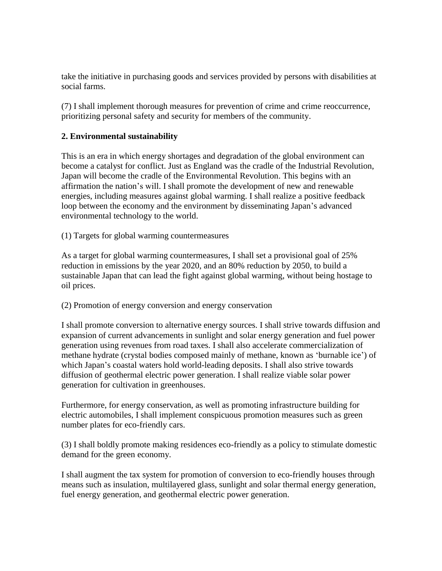take the initiative in purchasing goods and services provided by persons with disabilities at social farms.

(7) I shall implement thorough measures for prevention of crime and crime reoccurrence, prioritizing personal safety and security for members of the community.

#### **2. Environmental sustainability**

This is an era in which energy shortages and degradation of the global environment can become a catalyst for conflict. Just as England was the cradle of the Industrial Revolution, Japan will become the cradle of the Environmental Revolution. This begins with an affirmation the nation's will. I shall promote the development of new and renewable energies, including measures against global warming. I shall realize a positive feedback loop between the economy and the environment by disseminating Japan's advanced environmental technology to the world.

(1) Targets for global warming countermeasures

As a target for global warming countermeasures, I shall set a provisional goal of 25% reduction in emissions by the year 2020, and an 80% reduction by 2050, to build a sustainable Japan that can lead the fight against global warming, without being hostage to oil prices.

#### (2) Promotion of energy conversion and energy conservation

I shall promote conversion to alternative energy sources. I shall strive towards diffusion and expansion of current advancements in sunlight and solar energy generation and fuel power generation using revenues from road taxes. I shall also accelerate commercialization of methane hydrate (crystal bodies composed mainly of methane, known as 'burnable ice') of which Japan's coastal waters hold world-leading deposits. I shall also strive towards diffusion of geothermal electric power generation. I shall realize viable solar power generation for cultivation in greenhouses.

Furthermore, for energy conservation, as well as promoting infrastructure building for electric automobiles, I shall implement conspicuous promotion measures such as green number plates for eco-friendly cars.

(3) I shall boldly promote making residences eco-friendly as a policy to stimulate domestic demand for the green economy.

I shall augment the tax system for promotion of conversion to eco-friendly houses through means such as insulation, multilayered glass, sunlight and solar thermal energy generation, fuel energy generation, and geothermal electric power generation.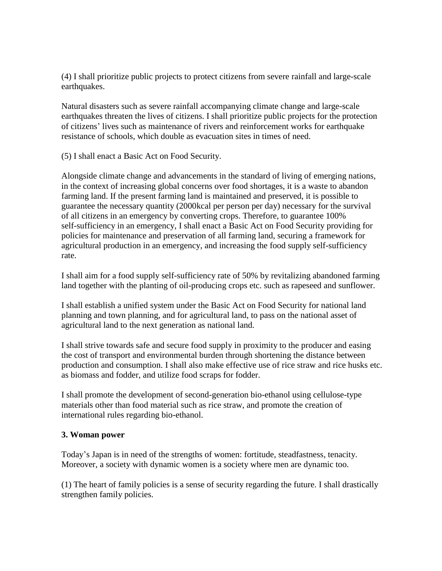(4) I shall prioritize public projects to protect citizens from severe rainfall and large-scale earthquakes.

Natural disasters such as severe rainfall accompanying climate change and large-scale earthquakes threaten the lives of citizens. I shall prioritize public projects for the protection of citizens' lives such as maintenance of rivers and reinforcement works for earthquake resistance of schools, which double as evacuation sites in times of need.

(5) I shall enact a Basic Act on Food Security.

Alongside climate change and advancements in the standard of living of emerging nations, in the context of increasing global concerns over food shortages, it is a waste to abandon farming land. If the present farming land is maintained and preserved, it is possible to guarantee the necessary quantity (2000kcal per person per day) necessary for the survival of all citizens in an emergency by converting crops. Therefore, to guarantee 100% self-sufficiency in an emergency, I shall enact a Basic Act on Food Security providing for policies for maintenance and preservation of all farming land, securing a framework for agricultural production in an emergency, and increasing the food supply self-sufficiency rate.

I shall aim for a food supply self-sufficiency rate of 50% by revitalizing abandoned farming land together with the planting of oil-producing crops etc. such as rapeseed and sunflower.

I shall establish a unified system under the Basic Act on Food Security for national land planning and town planning, and for agricultural land, to pass on the national asset of agricultural land to the next generation as national land.

I shall strive towards safe and secure food supply in proximity to the producer and easing the cost of transport and environmental burden through shortening the distance between production and consumption. I shall also make effective use of rice straw and rice husks etc. as biomass and fodder, and utilize food scraps for fodder.

I shall promote the development of second-generation bio-ethanol using cellulose-type materials other than food material such as rice straw, and promote the creation of international rules regarding bio-ethanol.

### **3. Woman power**

Today's Japan is in need of the strengths of women: fortitude, steadfastness, tenacity. Moreover, a society with dynamic women is a society where men are dynamic too.

(1) The heart of family policies is a sense of security regarding the future. I shall drastically strengthen family policies.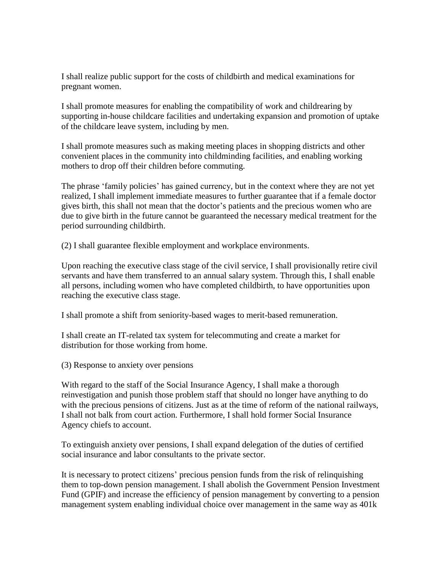I shall realize public support for the costs of childbirth and medical examinations for pregnant women.

I shall promote measures for enabling the compatibility of work and childrearing by supporting in-house childcare facilities and undertaking expansion and promotion of uptake of the childcare leave system, including by men.

I shall promote measures such as making meeting places in shopping districts and other convenient places in the community into childminding facilities, and enabling working mothers to drop off their children before commuting.

The phrase 'family policies' has gained currency, but in the context where they are not yet realized, I shall implement immediate measures to further guarantee that if a female doctor gives birth, this shall not mean that the doctor's patients and the precious women who are due to give birth in the future cannot be guaranteed the necessary medical treatment for the period surrounding childbirth.

(2) I shall guarantee flexible employment and workplace environments.

Upon reaching the executive class stage of the civil service, I shall provisionally retire civil servants and have them transferred to an annual salary system. Through this, I shall enable all persons, including women who have completed childbirth, to have opportunities upon reaching the executive class stage.

I shall promote a shift from seniority-based wages to merit-based remuneration.

I shall create an IT-related tax system for telecommuting and create a market for distribution for those working from home.

(3) Response to anxiety over pensions

With regard to the staff of the Social Insurance Agency, I shall make a thorough reinvestigation and punish those problem staff that should no longer have anything to do with the precious pensions of citizens. Just as at the time of reform of the national railways, I shall not balk from court action. Furthermore, I shall hold former Social Insurance Agency chiefs to account.

To extinguish anxiety over pensions, I shall expand delegation of the duties of certified social insurance and labor consultants to the private sector.

It is necessary to protect citizens' precious pension funds from the risk of relinquishing them to top-down pension management. I shall abolish the Government Pension Investment Fund (GPIF) and increase the efficiency of pension management by converting to a pension management system enabling individual choice over management in the same way as 401k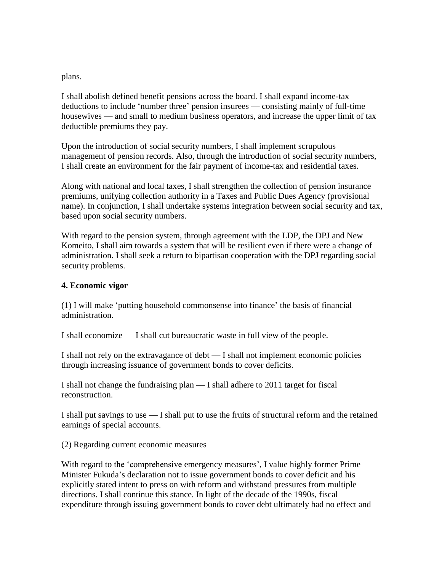plans.

I shall abolish defined benefit pensions across the board. I shall expand income-tax deductions to include 'number three' pension insurees — consisting mainly of full-time housewives — and small to medium business operators, and increase the upper limit of tax deductible premiums they pay.

Upon the introduction of social security numbers, I shall implement scrupulous management of pension records. Also, through the introduction of social security numbers, I shall create an environment for the fair payment of income-tax and residential taxes.

Along with national and local taxes, I shall strengthen the collection of pension insurance premiums, unifying collection authority in a Taxes and Public Dues Agency (provisional name). In conjunction, I shall undertake systems integration between social security and tax, based upon social security numbers.

With regard to the pension system, through agreement with the LDP, the DPJ and New Komeito, I shall aim towards a system that will be resilient even if there were a change of administration. I shall seek a return to bipartisan cooperation with the DPJ regarding social security problems.

#### **4. Economic vigor**

(1) I will make 'putting household commonsense into finance' the basis of financial administration.

I shall economize — I shall cut bureaucratic waste in full view of the people.

I shall not rely on the extravagance of debt — I shall not implement economic policies through increasing issuance of government bonds to cover deficits.

I shall not change the fundraising plan — I shall adhere to 2011 target for fiscal reconstruction.

I shall put savings to use — I shall put to use the fruits of structural reform and the retained earnings of special accounts.

(2) Regarding current economic measures

With regard to the 'comprehensive emergency measures', I value highly former Prime Minister Fukuda's declaration not to issue government bonds to cover deficit and his explicitly stated intent to press on with reform and withstand pressures from multiple directions. I shall continue this stance. In light of the decade of the 1990s, fiscal expenditure through issuing government bonds to cover debt ultimately had no effect and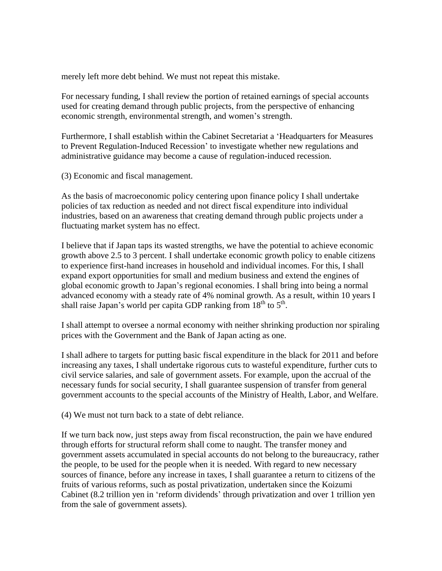merely left more debt behind. We must not repeat this mistake.

For necessary funding, I shall review the portion of retained earnings of special accounts used for creating demand through public projects, from the perspective of enhancing economic strength, environmental strength, and women's strength.

Furthermore, I shall establish within the Cabinet Secretariat a 'Headquarters for Measures to Prevent Regulation-Induced Recession' to investigate whether new regulations and administrative guidance may become a cause of regulation-induced recession.

(3) Economic and fiscal management.

As the basis of macroeconomic policy centering upon finance policy I shall undertake policies of tax reduction as needed and not direct fiscal expenditure into individual industries, based on an awareness that creating demand through public projects under a fluctuating market system has no effect.

I believe that if Japan taps its wasted strengths, we have the potential to achieve economic growth above 2.5 to 3 percent. I shall undertake economic growth policy to enable citizens to experience first-hand increases in household and individual incomes. For this, I shall expand export opportunities for small and medium business and extend the engines of global economic growth to Japan's regional economies. I shall bring into being a normal advanced economy with a steady rate of 4% nominal growth. As a result, within 10 years I shall raise Japan's world per capita GDP ranking from  $18<sup>th</sup>$  to  $5<sup>th</sup>$ .

I shall attempt to oversee a normal economy with neither shrinking production nor spiraling prices with the Government and the Bank of Japan acting as one.

I shall adhere to targets for putting basic fiscal expenditure in the black for 2011 and before increasing any taxes, I shall undertake rigorous cuts to wasteful expenditure, further cuts to civil service salaries, and sale of government assets. For example, upon the accrual of the necessary funds for social security, I shall guarantee suspension of transfer from general government accounts to the special accounts of the Ministry of Health, Labor, and Welfare.

(4) We must not turn back to a state of debt reliance.

If we turn back now, just steps away from fiscal reconstruction, the pain we have endured through efforts for structural reform shall come to naught. The transfer money and government assets accumulated in special accounts do not belong to the bureaucracy, rather the people, to be used for the people when it is needed. With regard to new necessary sources of finance, before any increase in taxes, I shall guarantee a return to citizens of the fruits of various reforms, such as postal privatization, undertaken since the Koizumi Cabinet (8.2 trillion yen in 'reform dividends' through privatization and over 1 trillion yen from the sale of government assets).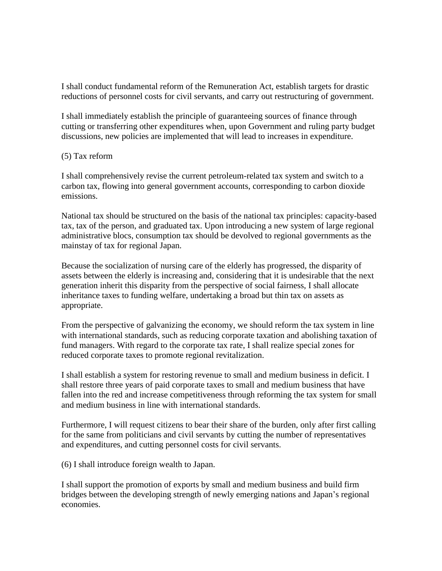I shall conduct fundamental reform of the Remuneration Act, establish targets for drastic reductions of personnel costs for civil servants, and carry out restructuring of government.

I shall immediately establish the principle of guaranteeing sources of finance through cutting or transferring other expenditures when, upon Government and ruling party budget discussions, new policies are implemented that will lead to increases in expenditure.

#### (5) Tax reform

I shall comprehensively revise the current petroleum-related tax system and switch to a carbon tax, flowing into general government accounts, corresponding to carbon dioxide emissions.

National tax should be structured on the basis of the national tax principles: capacity-based tax, tax of the person, and graduated tax. Upon introducing a new system of large regional administrative blocs, consumption tax should be devolved to regional governments as the mainstay of tax for regional Japan.

Because the socialization of nursing care of the elderly has progressed, the disparity of assets between the elderly is increasing and, considering that it is undesirable that the next generation inherit this disparity from the perspective of social fairness, I shall allocate inheritance taxes to funding welfare, undertaking a broad but thin tax on assets as appropriate.

From the perspective of galvanizing the economy, we should reform the tax system in line with international standards, such as reducing corporate taxation and abolishing taxation of fund managers. With regard to the corporate tax rate, I shall realize special zones for reduced corporate taxes to promote regional revitalization.

I shall establish a system for restoring revenue to small and medium business in deficit. I shall restore three years of paid corporate taxes to small and medium business that have fallen into the red and increase competitiveness through reforming the tax system for small and medium business in line with international standards.

Furthermore, I will request citizens to bear their share of the burden, only after first calling for the same from politicians and civil servants by cutting the number of representatives and expenditures, and cutting personnel costs for civil servants.

(6) I shall introduce foreign wealth to Japan.

I shall support the promotion of exports by small and medium business and build firm bridges between the developing strength of newly emerging nations and Japan's regional economies.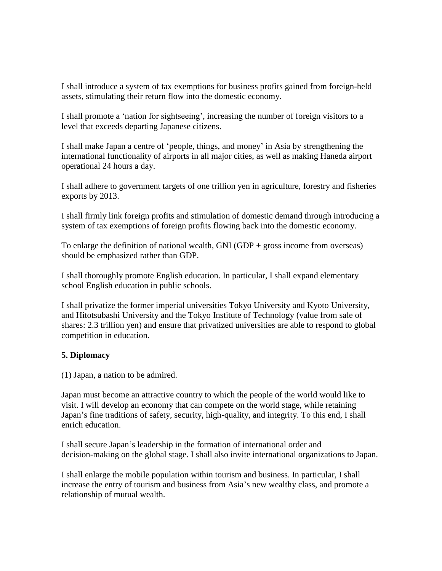I shall introduce a system of tax exemptions for business profits gained from foreign-held assets, stimulating their return flow into the domestic economy.

I shall promote a 'nation for sightseeing', increasing the number of foreign visitors to a level that exceeds departing Japanese citizens.

I shall make Japan a centre of 'people, things, and money' in Asia by strengthening the international functionality of airports in all major cities, as well as making Haneda airport operational 24 hours a day.

I shall adhere to government targets of one trillion yen in agriculture, forestry and fisheries exports by 2013.

I shall firmly link foreign profits and stimulation of domestic demand through introducing a system of tax exemptions of foreign profits flowing back into the domestic economy.

To enlarge the definition of national wealth, GNI (GDP + gross income from overseas) should be emphasized rather than GDP.

I shall thoroughly promote English education. In particular, I shall expand elementary school English education in public schools.

I shall privatize the former imperial universities Tokyo University and Kyoto University, and Hitotsubashi University and the Tokyo Institute of Technology (value from sale of shares: 2.3 trillion yen) and ensure that privatized universities are able to respond to global competition in education.

### **5. Diplomacy**

(1) Japan, a nation to be admired.

Japan must become an attractive country to which the people of the world would like to visit. I will develop an economy that can compete on the world stage, while retaining Japan's fine traditions of safety, security, high-quality, and integrity. To this end, I shall enrich education.

I shall secure Japan's leadership in the formation of international order and decision-making on the global stage. I shall also invite international organizations to Japan.

I shall enlarge the mobile population within tourism and business. In particular, I shall increase the entry of tourism and business from Asia's new wealthy class, and promote a relationship of mutual wealth.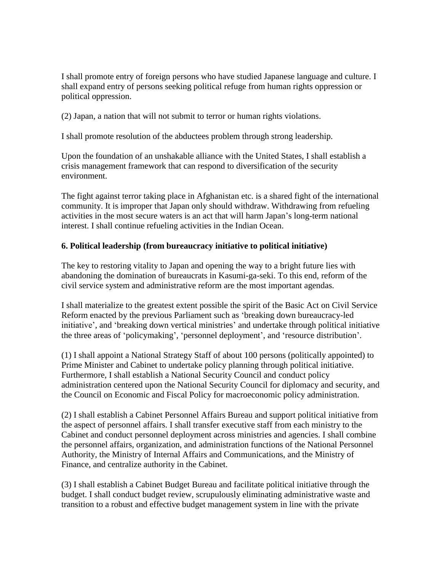I shall promote entry of foreign persons who have studied Japanese language and culture. I shall expand entry of persons seeking political refuge from human rights oppression or political oppression.

(2) Japan, a nation that will not submit to terror or human rights violations.

I shall promote resolution of the abductees problem through strong leadership.

Upon the foundation of an unshakable alliance with the United States, I shall establish a crisis management framework that can respond to diversification of the security environment.

The fight against terror taking place in Afghanistan etc. is a shared fight of the international community. It is improper that Japan only should withdraw. Withdrawing from refueling activities in the most secure waters is an act that will harm Japan's long-term national interest. I shall continue refueling activities in the Indian Ocean.

## **6. Political leadership (from bureaucracy initiative to political initiative)**

The key to restoring vitality to Japan and opening the way to a bright future lies with abandoning the domination of bureaucrats in Kasumi-ga-seki. To this end, reform of the civil service system and administrative reform are the most important agendas.

I shall materialize to the greatest extent possible the spirit of the Basic Act on Civil Service Reform enacted by the previous Parliament such as 'breaking down bureaucracy-led initiative', and 'breaking down vertical ministries' and undertake through political initiative the three areas of 'policymaking', 'personnel deployment', and 'resource distribution'.

(1) I shall appoint a National Strategy Staff of about 100 persons (politically appointed) to Prime Minister and Cabinet to undertake policy planning through political initiative. Furthermore, I shall establish a National Security Council and conduct policy administration centered upon the National Security Council for diplomacy and security, and the Council on Economic and Fiscal Policy for macroeconomic policy administration.

(2) I shall establish a Cabinet Personnel Affairs Bureau and support political initiative from the aspect of personnel affairs. I shall transfer executive staff from each ministry to the Cabinet and conduct personnel deployment across ministries and agencies. I shall combine the personnel affairs, organization, and administration functions of the National Personnel Authority, the Ministry of Internal Affairs and Communications, and the Ministry of Finance, and centralize authority in the Cabinet.

(3) I shall establish a Cabinet Budget Bureau and facilitate political initiative through the budget. I shall conduct budget review, scrupulously eliminating administrative waste and transition to a robust and effective budget management system in line with the private